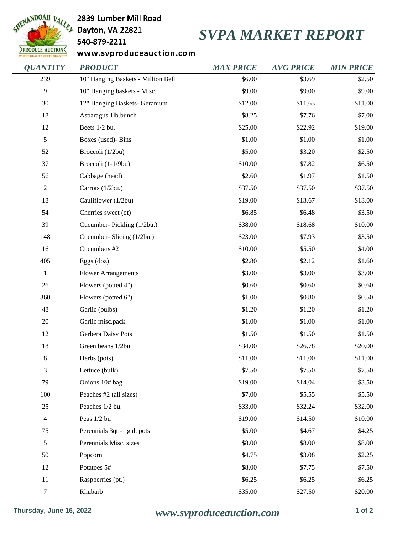

## 2839 Lumber Mill Road

540-879-2211

## *SVPA MARKET REPORT*

www.svproduceauction.com

| <b>QUANTITY</b> | <b>PRODUCT</b>                     | <b>MAX PRICE</b> | <b>AVG PRICE</b> | <b>MIN PRICE</b> |
|-----------------|------------------------------------|------------------|------------------|------------------|
| 239             | 10" Hanging Baskets - Million Bell | \$6.00           | \$3.69           | \$2.50           |
| 9               | 10" Hanging baskets - Misc.        | \$9.00           | \$9.00           | \$9.00           |
| 30              | 12" Hanging Baskets- Geranium      | \$12.00          | \$11.63          | \$11.00          |
| 18              | Asparagus 1lb.bunch                | \$8.25           | \$7.76           | \$7.00           |
| 12              | Beets 1/2 bu.                      | \$25.00          | \$22.92          | \$19.00          |
| 5               | Boxes (used)- Bins                 | \$1.00           | \$1.00           | \$1.00           |
| 52              | Broccoli (1/2bu)                   | \$5.00           | \$3.20           | \$2.50           |
| 37              | Broccoli (1-1/9bu)                 | \$10.00          | \$7.82           | \$6.50           |
| 56              | Cabbage (head)                     | \$2.60           | \$1.97           | \$1.50           |
| $\overline{c}$  | Carrots (1/2bu.)                   | \$37.50          | \$37.50          | \$37.50          |
| 18              | Cauliflower (1/2bu)                | \$19.00          | \$13.67          | \$13.00          |
| 54              | Cherries sweet (qt)                | \$6.85           | \$6.48           | \$3.50           |
| 39              | Cucumber-Pickling (1/2bu.)         | \$38.00          | \$18.68          | \$10.00          |
| 148             | Cucumber-Slicing (1/2bu.)          | \$23.00          | \$7.93           | \$3.50           |
| 16              | Cucumbers #2                       | \$10.00          | \$5.50           | \$4.00           |
| 405             | Eggs $(doz)$                       | \$2.80           | \$2.12           | \$1.60           |
| $\,1$           | <b>Flower Arrangements</b>         | \$3.00           | \$3.00           | \$3.00           |
| 26              | Flowers (potted 4")                | \$0.60           | \$0.60           | \$0.60           |
| 360             | Flowers (potted 6")                | \$1.00           | \$0.80           | \$0.50           |
| 48              | Garlic (bulbs)                     | \$1.20           | \$1.20           | \$1.20           |
| $20\,$          | Garlic misc.pack                   | \$1.00           | \$1.00           | \$1.00           |
| 12              | Gerbera Daisy Pots                 | \$1.50           | \$1.50           | \$1.50           |
| 18              | Green beans 1/2bu                  | \$34.00          | \$26.78          | \$20.00          |
| 8               | Herbs (pots)                       | \$11.00          | \$11.00          | \$11.00          |
| 3               | Lettuce (bulk)                     | \$7.50           | \$7.50           | \$7.50           |
| 79              | Onions 10# bag                     | \$19.00          | \$14.04          | \$3.50           |
| 100             | Peaches #2 (all sizes)             | \$7.00           | \$5.55           | \$5.50           |
| 25              | Peaches 1/2 bu.                    | \$33.00          | \$32.24          | \$32.00          |
| 4               | Peas 1/2 bu                        | \$19.00          | \$14.50          | \$10.00          |
| 75              | Perennials 3qt.-1 gal. pots        | \$5.00           | \$4.67           | \$4.25           |
| 5               | Perennials Misc. sizes             | \$8.00           | \$8.00           | \$8.00           |
| 50              | Popcorn                            | \$4.75           | \$3.08           | \$2.25           |
| 12              | Potatoes 5#                        | \$8.00           | \$7.75           | \$7.50           |
| 11              | Raspberries (pt.)                  | \$6.25           | \$6.25           | \$6.25           |
| 7               | Rhubarb                            | \$35.00          | \$27.50          | \$20.00          |
|                 |                                    |                  |                  |                  |

**Thursday, June 16, 2022** *www.svproduceauction.com* **1 of 2**